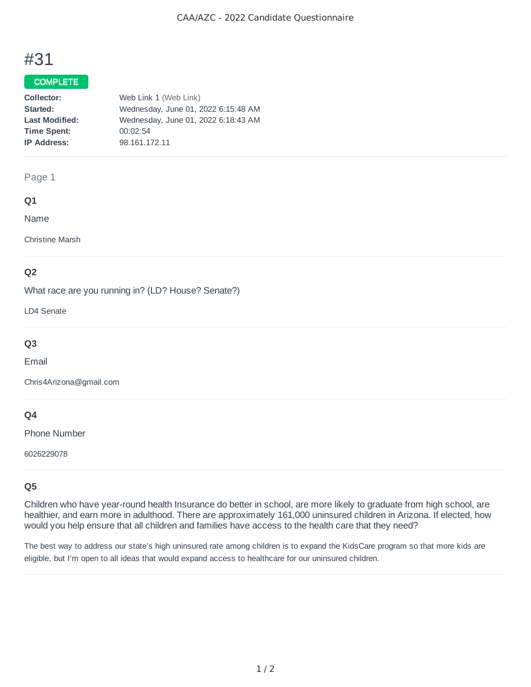# #31

## COMPLETE

| Collector:            | Web Link 1 (Web Link)               |
|-----------------------|-------------------------------------|
| Started:              | Wednesday, June 01, 2022 6:15:48 AM |
| <b>Last Modified:</b> | Wednesday, June 01, 2022 6:18:43 AM |
| <b>Time Spent:</b>    | 00:02:54                            |
| <b>IP Address:</b>    | 98.161.172.11                       |

## Page 1

### **Q1**

Name

Christine Marsh

## **Q2**

What race are you running in? (LD? House? Senate?)

LD4 Senate

## **Q3**

Email

Chris4Arizona@gmail.com

## **Q4**

Phone Number

6026229078

## **Q5**

Children who have year-round health Insurance do better in school, are more likely to graduate from high school, are healthier, and earn more in adulthood. There are approximately 161,000 uninsured children in Arizona. If elected, how would you help ensure that all children and families have access to the health care that they need?

The best way to address our state's high uninsured rate among children is to expand the KidsCare program so that more kids are eligible, but I'm open to all ideas that would expand access to healthcare for our uninsured children.